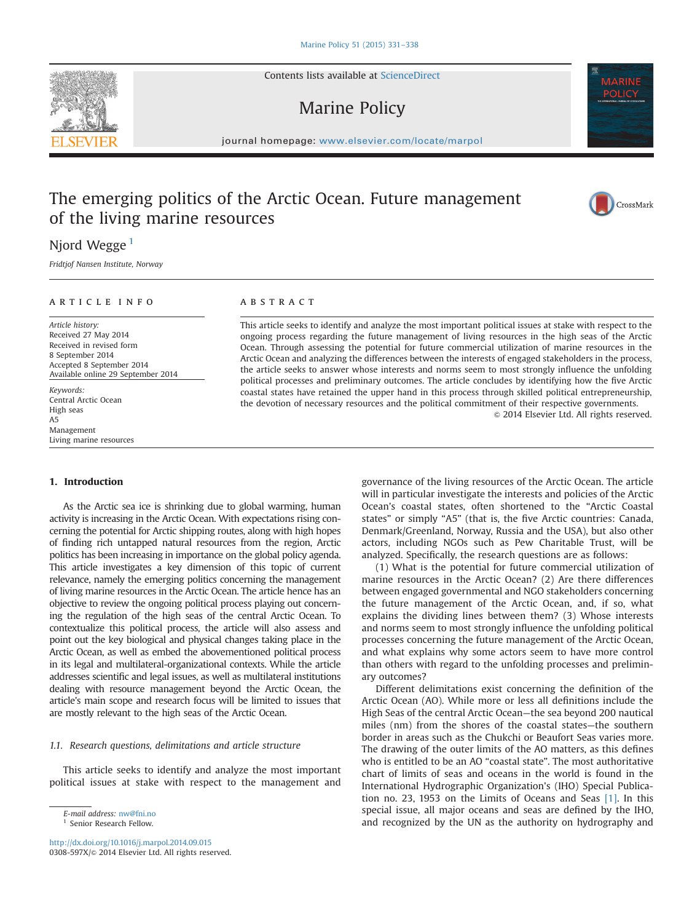Contents lists available at [ScienceDirect](www.sciencedirect.com/science/journal/0308597X)

# Marine Policy

journal homepage: <www.elsevier.com/locate/marpol>

# The emerging politics of the Arctic Ocean. Future management of the living marine resources

### Njord Wegge $<sup>1</sup>$ </sup>

Fridtjof Nansen Institute, Norway

#### article info

Article history: Received 27 May 2014 Received in revised form 8 September 2014 Accepted 8 September 2014 Available online 29 September 2014

Keywords: Central Arctic Ocean High seas A5 Management Living marine resources

#### 1. Introduction

As the Arctic sea ice is shrinking due to global warming, human activity is increasing in the Arctic Ocean. With expectations rising concerning the potential for Arctic shipping routes, along with high hopes of finding rich untapped natural resources from the region, Arctic politics has been increasing in importance on the global policy agenda. This article investigates a key dimension of this topic of current relevance, namely the emerging politics concerning the management of living marine resources in the Arctic Ocean. The article hence has an objective to review the ongoing political process playing out concerning the regulation of the high seas of the central Arctic Ocean. To contextualize this political process, the article will also assess and point out the key biological and physical changes taking place in the Arctic Ocean, as well as embed the abovementioned political process in its legal and multilateral-organizational contexts. While the article addresses scientific and legal issues, as well as multilateral institutions dealing with resource management beyond the Arctic Ocean, the article's main scope and research focus will be limited to issues that are mostly relevant to the high seas of the Arctic Ocean.

#### 1.1. Research questions, delimitations and article structure

This article seeks to identify and analyze the most important political issues at stake with respect to the management and

<http://dx.doi.org/10.1016/j.marpol.2014.09.015> 0308-597X/@ 2014 Elsevier Ltd. All rights reserved.

### ABSTRACT

This article seeks to identify and analyze the most important political issues at stake with respect to the ongoing process regarding the future management of living resources in the high seas of the Arctic Ocean. Through assessing the potential for future commercial utilization of marine resources in the Arctic Ocean and analyzing the differences between the interests of engaged stakeholders in the process, the article seeks to answer whose interests and norms seem to most strongly influence the unfolding political processes and preliminary outcomes. The article concludes by identifying how the five Arctic coastal states have retained the upper hand in this process through skilled political entrepreneurship, the devotion of necessary resources and the political commitment of their respective governments.  $\odot$  2014 Elsevier Ltd. All rights reserved.

> governance of the living resources of the Arctic Ocean. The article will in particular investigate the interests and policies of the Arctic Ocean's coastal states, often shortened to the "Arctic Coastal states" or simply "A5" (that is, the five Arctic countries: Canada, Denmark/Greenland, Norway, Russia and the USA), but also other actors, including NGOs such as Pew Charitable Trust, will be analyzed. Specifically, the research questions are as follows:

> (1) What is the potential for future commercial utilization of marine resources in the Arctic Ocean? (2) Are there differences between engaged governmental and NGO stakeholders concerning the future management of the Arctic Ocean, and, if so, what explains the dividing lines between them? (3) Whose interests and norms seem to most strongly influence the unfolding political processes concerning the future management of the Arctic Ocean, and what explains why some actors seem to have more control than others with regard to the unfolding processes and preliminary outcomes?

> Different delimitations exist concerning the definition of the Arctic Ocean (AO). While more or less all definitions include the High Seas of the central Arctic Ocean—the sea beyond 200 nautical miles (nm) from the shores of the coastal states—the southern border in areas such as the Chukchi or Beaufort Seas varies more. The drawing of the outer limits of the AO matters, as this defines who is entitled to be an AO "coastal state". The most authoritative chart of limits of seas and oceans in the world is found in the International Hydrographic Organization's (IHO) Special Publication no. 23, 1953 on the Limits of Oceans and Seas [\[1\]](#page-6-0). In this special issue, all major oceans and seas are defined by the IHO, and recognized by the UN as the authority on hydrography and





E-mail address: [nw@fni.no](mailto:nw@fni.no)

Senior Research Fellow.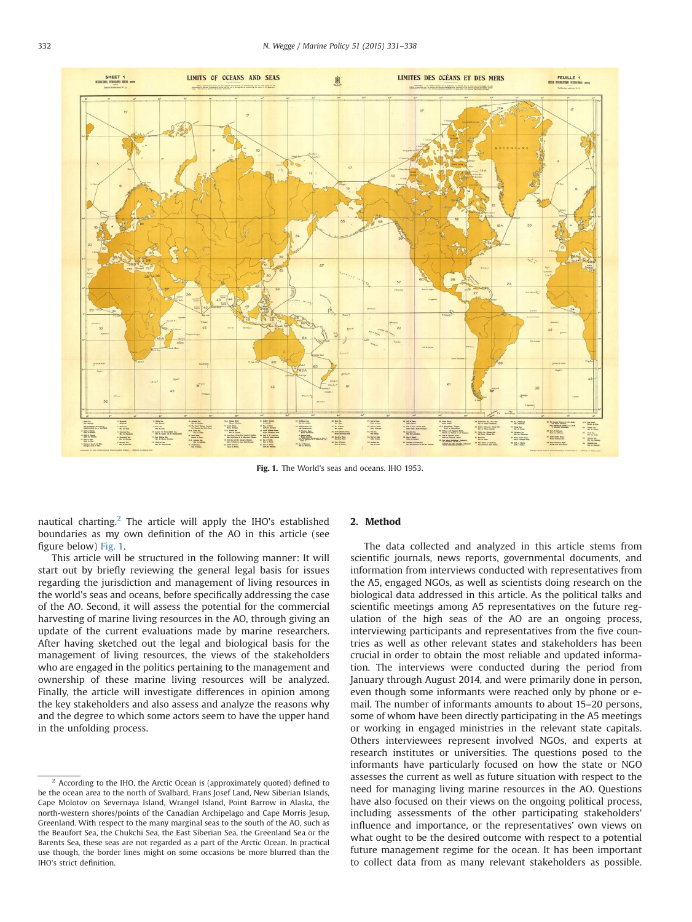

Fig. 1. The World's seas and oceans. IHO 1953.

nautical charting.<sup>2</sup> The article will apply the IHO's established boundaries as my own definition of the AO in this article (see figure below) Fig. 1.

This article will be structured in the following manner: It will start out by briefly reviewing the general legal basis for issues regarding the jurisdiction and management of living resources in the world's seas and oceans, before specifically addressing the case of the AO. Second, it will assess the potential for the commercial harvesting of marine living resources in the AO, through giving an update of the current evaluations made by marine researchers. After having sketched out the legal and biological basis for the management of living resources, the views of the stakeholders who are engaged in the politics pertaining to the management and ownership of these marine living resources will be analyzed. Finally, the article will investigate differences in opinion among the key stakeholders and also assess and analyze the reasons why and the degree to which some actors seem to have the upper hand in the unfolding process.

#### 2. Method

The data collected and analyzed in this article stems from scientific journals, news reports, governmental documents, and information from interviews conducted with representatives from the A5, engaged NGOs, as well as scientists doing research on the biological data addressed in this article. As the political talks and scientific meetings among A5 representatives on the future regulation of the high seas of the AO are an ongoing process, interviewing participants and representatives from the five countries as well as other relevant states and stakeholders has been crucial in order to obtain the most reliable and updated information. The interviews were conducted during the period from January through August 2014, and were primarily done in person, even though some informants were reached only by phone or email. The number of informants amounts to about 15–20 persons, some of whom have been directly participating in the A5 meetings or working in engaged ministries in the relevant state capitals. Others interviewees represent involved NGOs, and experts at research institutes or universities. The questions posed to the informants have particularly focused on how the state or NGO assesses the current as well as future situation with respect to the need for managing living marine resources in the AO. Questions have also focused on their views on the ongoing political process, including assessments of the other participating stakeholders' influence and importance, or the representatives' own views on what ought to be the desired outcome with respect to a potential future management regime for the ocean. It has been important to collect data from as many relevant stakeholders as possible.

<sup>2</sup> According to the IHO, the Arctic Ocean is (approximately quoted) defined to be the ocean area to the north of Svalbard, Frans Josef Land, New Siberian Islands, Cape Molotov on Severnaya Island, Wrangel Island, Point Barrow in Alaska, the north-western shores/points of the Canadian Archipelago and Cape Morris Jesup, Greenland. With respect to the many marginal seas to the south of the AO, such as the Beaufort Sea, the Chukchi Sea, the East Siberian Sea, the Greenland Sea or the Barents Sea, these seas are not regarded as a part of the Arctic Ocean. In practical use though, the border lines might on some occasions be more blurred than the IHO's strict definition.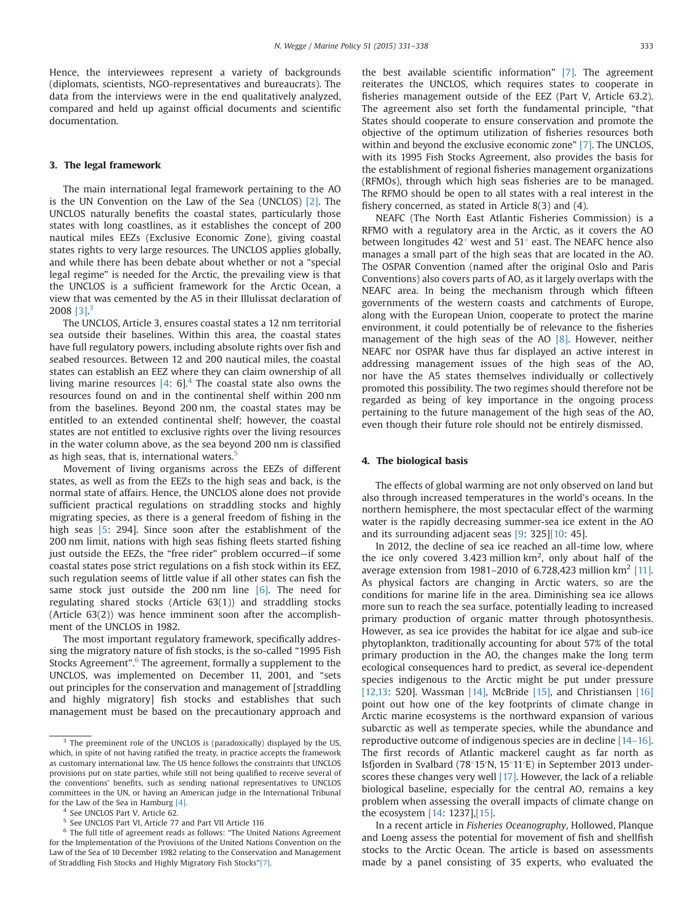Hence, the interviewees represent a variety of backgrounds (diplomats, scientists, NGO-representatives and bureaucrats). The data from the interviews were in the end qualitatively analyzed, compared and held up against official documents and scientific documentation.

#### 3. The legal framework

The main international legal framework pertaining to the AO is the UN Convention on the Law of the Sea (UNCLOS) [\[2\]](#page-6-0). The UNCLOS naturally benefits the coastal states, particularly those states with long coastlines, as it establishes the concept of 200 nautical miles EEZs (Exclusive Economic Zone), giving coastal states rights to very large resources. The UNCLOS applies globally, and while there has been debate about whether or not a "special legal regime" is needed for the Arctic, the prevailing view is that the UNCLOS is a sufficient framework for the Arctic Ocean, a view that was cemented by the A5 in their Illulissat declaration of  $2008$  [\[3\]](#page-6-0).<sup>3</sup>

The UNCLOS, Article 3, ensures coastal states a 12 nm territorial sea outside their baselines. Within this area, the coastal states have full regulatory powers, including absolute rights over fish and seabed resources. Between 12 and 200 nautical miles, the coastal states can establish an EEZ where they can claim ownership of all living marine resources  $[4: 6]$  $[4: 6]$ .<sup>4</sup> The coastal state also owns the resources found on and in the continental shelf within 200 nm from the baselines. Beyond 200 nm, the coastal states may be entitled to an extended continental shelf; however, the coastal states are not entitled to exclusive rights over the living resources in the water column above, as the sea beyond 200 nm is classified as high seas, that is, international waters.<sup>5</sup>

Movement of living organisms across the EEZs of different states, as well as from the EEZs to the high seas and back, is the normal state of affairs. Hence, the UNCLOS alone does not provide sufficient practical regulations on straddling stocks and highly migrating species, as there is a general freedom of fishing in the high seas [\[5](#page-6-0): 294]. Since soon after the establishment of the 200 nm limit, nations with high seas fishing fleets started fishing just outside the EEZs, the "free rider" problem occurred—if some coastal states pose strict regulations on a fish stock within its EEZ, such regulation seems of little value if all other states can fish the same stock just outside the 200 nm line [\[6\].](#page-6-0) The need for regulating shared stocks (Article 63(1)) and straddling stocks (Article 63(2)) was hence imminent soon after the accomplishment of the UNCLOS in 1982.

The most important regulatory framework, specifically addressing the migratory nature of fish stocks, is the so-called "1995 Fish Stocks Agreement".<sup>6</sup> The agreement, formally a supplement to the UNCLOS, was implemented on December 11, 2001, and "sets out principles for the conservation and management of [straddling and highly migratory] fish stocks and establishes that such management must be based on the precautionary approach and the best available scientific information" [\[7\].](#page-6-0) The agreement reiterates the UNCLOS, which requires states to cooperate in fisheries management outside of the EEZ (Part V, Article 63.2). The agreement also set forth the fundamental principle, "that States should cooperate to ensure conservation and promote the objective of the optimum utilization of fisheries resources both within and beyond the exclusive economic zone" [\[7\]](#page-6-0). The UNCLOS, with its 1995 Fish Stocks Agreement, also provides the basis for the establishment of regional fisheries management organizations (RFMOs), through which high seas fisheries are to be managed. The RFMO should be open to all states with a real interest in the fishery concerned, as stated in Article 8(3) and (4).

NEAFC (The North East Atlantic Fisheries Commission) is a RFMO with a regulatory area in the Arctic, as it covers the AO between longitudes  $42^{\circ}$  west and  $51^{\circ}$  east. The NEAFC hence also manages a small part of the high seas that are located in the AO. The OSPAR Convention (named after the original Oslo and Paris Conventions) also covers parts of AO, as it largely overlaps with the NEAFC area. In being the mechanism through which fifteen governments of the western coasts and catchments of Europe, along with the European Union, cooperate to protect the marine environment, it could potentially be of relevance to the fisheries management of the high seas of the AO [\[8\]](#page-6-0). However, neither NEAFC nor OSPAR have thus far displayed an active interest in addressing management issues of the high seas of the AO, nor have the A5 states themselves individually or collectively promoted this possibility. The two regimes should therefore not be regarded as being of key importance in the ongoing process pertaining to the future management of the high seas of the AO, even though their future role should not be entirely dismissed.

#### 4. The biological basis

The effects of global warming are not only observed on land but also through increased temperatures in the world's oceans. In the northern hemisphere, the most spectacular effect of the warming water is the rapidly decreasing summer-sea ice extent in the AO and its surrounding adjacent seas [\[9:](#page-6-0) 325][\[10:](#page-6-0) 45].

In 2012, the decline of sea ice reached an all-time low, where the ice only covered 3.423 million  $km^2$ , only about half of the average extension from 1981–2010 of 6.728,423 million  $km<sup>2</sup>$  [\[11\].](#page-6-0) As physical factors are changing in Arctic waters, so are the conditions for marine life in the area. Diminishing sea ice allows more sun to reach the sea surface, potentially leading to increased primary production of organic matter through photosynthesis. However, as sea ice provides the habitat for ice algae and sub-ice phytoplankton, traditionally accounting for about 57% of the total primary production in the AO, the changes make the long term ecological consequences hard to predict, as several ice-dependent species indigenous to the Arctic might be put under pressure [\[12,13:](#page-6-0) 520]. Wassman [\[14\]](#page-6-0), McBride [\[15\],](#page-6-0) and Christiansen [\[16\]](#page-6-0) point out how one of the key footprints of climate change in Arctic marine ecosystems is the northward expansion of various subarctic as well as temperate species, while the abundance and reproductive outcome of indigenous species are in decline [14–[16\].](#page-6-0) The first records of Atlantic mackerel caught as far north as Isfjorden in Svalbard (78°15'N, 15°11'E) in September 2013 under-scores these changes very well [\[17\]](#page-6-0). However, the lack of a reliable biological baseline, especially for the central AO, remains a key problem when assessing the overall impacts of climate change on the ecosystem [\[14:](#page-6-0) 1237],[\[15\]](#page-6-0).

In a recent article in Fisheries Oceanography, Hollowed, Planque and Loeng assess the potential for movement of fish and shellfish stocks to the Arctic Ocean. The article is based on assessments made by a panel consisting of 35 experts, who evaluated the

The preeminent role of the UNCLOS is (paradoxically) displayed by the US, which, in spite of not having ratified the treaty, in practice accepts the framework as customary international law. The US hence follows the constraints that UNCLOS provisions put on state parties, while still not being qualified to receive several of the conventions' benefits, such as sending national representatives to UNCLOS committees in the UN, or having an American judge in the International Tribunal for the Law of the Sea in Hamburg [\[4\].](#page-6-0)

<sup>&</sup>lt;sup>4</sup> See UNCLOS Part V, Article 62.

<sup>5</sup> See UNCLOS Part VI, Article 77 and Part VII Article 116

<sup>6</sup> The full title of agreement reads as follows: "The United Nations Agreement for the Implementation of the Provisions of the United Nations Convention on the Law of the Sea of 10 December 1982 relating to the Conservation and Management of Straddling Fish Stocks and Highly Migratory Fish Stocks"[\[7\]](#page-6-0).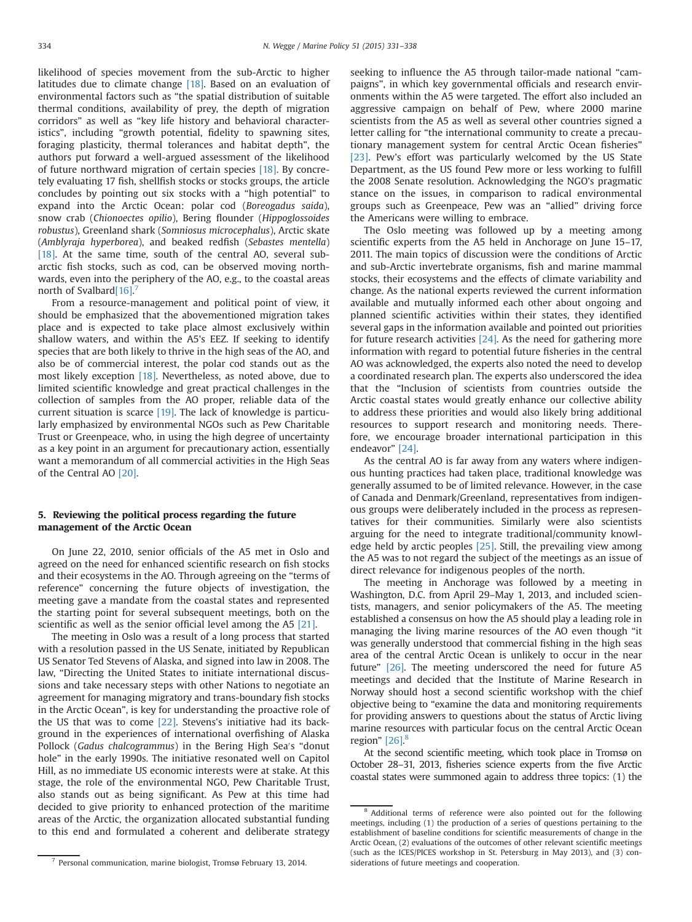likelihood of species movement from the sub-Arctic to higher latitudes due to climate change [\[18\]](#page-6-0). Based on an evaluation of environmental factors such as "the spatial distribution of suitable thermal conditions, availability of prey, the depth of migration corridors" as well as "key life history and behavioral characteristics", including "growth potential, fidelity to spawning sites, foraging plasticity, thermal tolerances and habitat depth", the authors put forward a well-argued assessment of the likelihood of future northward migration of certain species [\[18\].](#page-6-0) By concretely evaluating 17 fish, shellfish stocks or stocks groups, the article concludes by pointing out six stocks with a "high potential" to expand into the Arctic Ocean: polar cod (Boreogadus saida), snow crab (Chionoectes opilio), Bering flounder (Hippoglossoides robustus), Greenland shark (Somniosus microcephalus), Arctic skate (Amblyraja hyperborea), and beaked redfish (Sebastes mentella) [\[18\]](#page-6-0). At the same time, south of the central AO, several subarctic fish stocks, such as cod, can be observed moving northwards, even into the periphery of the AO, e.g., to the coastal areas north of Svalbar[d\[16\]](#page-6-0).<sup>7</sup>

From a resource-management and political point of view, it should be emphasized that the abovementioned migration takes place and is expected to take place almost exclusively within shallow waters, and within the A5's EEZ. If seeking to identify species that are both likely to thrive in the high seas of the AO, and also be of commercial interest, the polar cod stands out as the most likely exception [\[18\]](#page-6-0). Nevertheless, as noted above, due to limited scientific knowledge and great practical challenges in the collection of samples from the AO proper, reliable data of the current situation is scarce [\[19\].](#page-6-0) The lack of knowledge is particularly emphasized by environmental NGOs such as Pew Charitable Trust or Greenpeace, who, in using the high degree of uncertainty as a key point in an argument for precautionary action, essentially want a memorandum of all commercial activities in the High Seas of the Central AO [\[20\]](#page-6-0).

#### 5. Reviewing the political process regarding the future management of the Arctic Ocean

On June 22, 2010, senior officials of the A5 met in Oslo and agreed on the need for enhanced scientific research on fish stocks and their ecosystems in the AO. Through agreeing on the "terms of reference" concerning the future objects of investigation, the meeting gave a mandate from the coastal states and represented the starting point for several subsequent meetings, both on the scientific as well as the senior official level among the A5 [\[21\]](#page-6-0).

The meeting in Oslo was a result of a long process that started with a resolution passed in the US Senate, initiated by Republican US Senator Ted Stevens of Alaska, and signed into law in 2008. The law, "Directing the United States to initiate international discussions and take necessary steps with other Nations to negotiate an agreement for managing migratory and trans-boundary fish stocks in the Arctic Ocean", is key for understanding the proactive role of the US that was to come [\[22\]](#page-6-0). Stevens's initiative had its background in the experiences of international overfishing of Alaska Pollock (Gadus chalcogrammus) in the Bering High Sea's "donut hole" in the early 1990s. The initiative resonated well on Capitol Hill, as no immediate US economic interests were at stake. At this stage, the role of the environmental NGO, Pew Charitable Trust, also stands out as being significant. As Pew at this time had decided to give priority to enhanced protection of the maritime areas of the Arctic, the organization allocated substantial funding to this end and formulated a coherent and deliberate strategy

<sup>7</sup> Personal communication, marine biologist, Tromsø February 13, 2014.

seeking to influence the A5 through tailor-made national "campaigns", in which key governmental officials and research environments within the A5 were targeted. The effort also included an aggressive campaign on behalf of Pew, where 2000 marine scientists from the A5 as well as several other countries signed a letter calling for "the international community to create a precautionary management system for central Arctic Ocean fisheries" [\[23\]](#page-6-0). Pew's effort was particularly welcomed by the US State Department, as the US found Pew more or less working to fulfill the 2008 Senate resolution. Acknowledging the NGO's pragmatic stance on the issues, in comparison to radical environmental groups such as Greenpeace, Pew was an "allied" driving force the Americans were willing to embrace.

The Oslo meeting was followed up by a meeting among scientific experts from the A5 held in Anchorage on June 15–17, 2011. The main topics of discussion were the conditions of Arctic and sub-Arctic invertebrate organisms, fish and marine mammal stocks, their ecosystems and the effects of climate variability and change. As the national experts reviewed the current information available and mutually informed each other about ongoing and planned scientific activities within their states, they identified several gaps in the information available and pointed out priorities for future research activities  $[24]$ . As the need for gathering more information with regard to potential future fisheries in the central AO was acknowledged, the experts also noted the need to develop a coordinated research plan. The experts also underscored the idea that the "Inclusion of scientists from countries outside the Arctic coastal states would greatly enhance our collective ability to address these priorities and would also likely bring additional resources to support research and monitoring needs. Therefore, we encourage broader international participation in this endeavor" [\[24\]](#page-6-0).

As the central AO is far away from any waters where indigenous hunting practices had taken place, traditional knowledge was generally assumed to be of limited relevance. However, in the case of Canada and Denmark/Greenland, representatives from indigenous groups were deliberately included in the process as representatives for their communities. Similarly were also scientists arguing for the need to integrate traditional/community knowl-edge held by arctic peoples [\[25\]](#page-6-0). Still, the prevailing view among the A5 was to not regard the subject of the meetings as an issue of direct relevance for indigenous peoples of the north.

The meeting in Anchorage was followed by a meeting in Washington, D.C. from April 29–May 1, 2013, and included scientists, managers, and senior policymakers of the A5. The meeting established a consensus on how the A5 should play a leading role in managing the living marine resources of the AO even though "it was generally understood that commercial fishing in the high seas area of the central Arctic Ocean is unlikely to occur in the near future" [\[26\].](#page-6-0) The meeting underscored the need for future A5 meetings and decided that the Institute of Marine Research in Norway should host a second scientific workshop with the chief objective being to "examine the data and monitoring requirements for providing answers to questions about the status of Arctic living marine resources with particular focus on the central Arctic Ocean region" [\[26\].](#page-6-0) 8

At the second scientific meeting, which took place in Tromsø on October 28–31, 2013, fisheries science experts from the five Arctic coastal states were summoned again to address three topics: (1) the

<sup>8</sup> Additional terms of reference were also pointed out for the following meetings, including (1) the production of a series of questions pertaining to the establishment of baseline conditions for scientific measurements of change in the Arctic Ocean, (2) evaluations of the outcomes of other relevant scientific meetings (such as the ICES/PICES workshop in St. Petersburg in May 2013), and (3) considerations of future meetings and cooperation.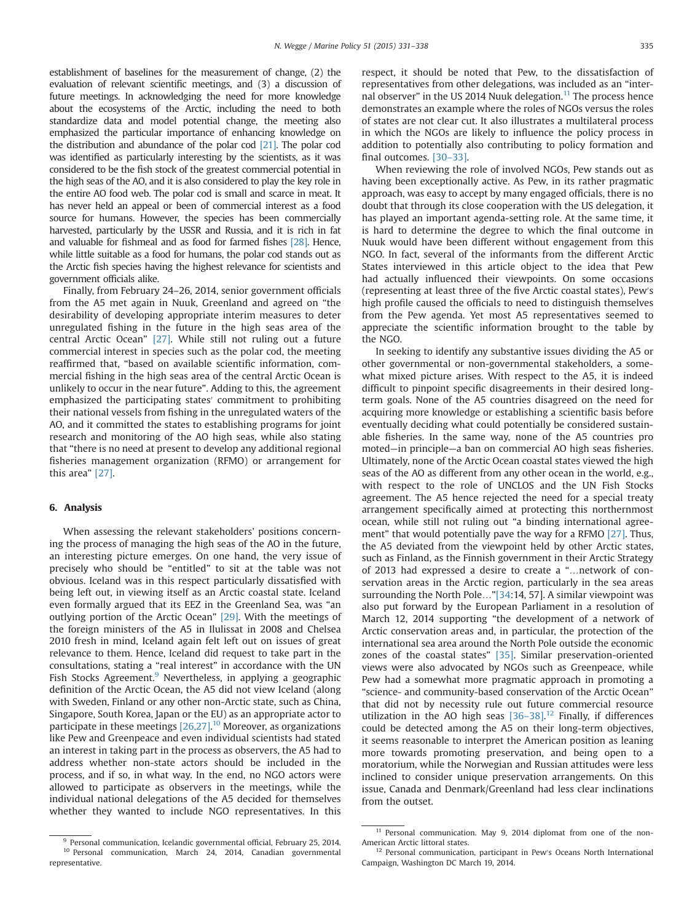establishment of baselines for the measurement of change, (2) the evaluation of relevant scientific meetings, and (3) a discussion of future meetings. In acknowledging the need for more knowledge about the ecosystems of the Arctic, including the need to both standardize data and model potential change, the meeting also emphasized the particular importance of enhancing knowledge on the distribution and abundance of the polar cod [\[21\].](#page-6-0) The polar cod was identified as particularly interesting by the scientists, as it was considered to be the fish stock of the greatest commercial potential in the high seas of the AO, and it is also considered to play the key role in the entire AO food web. The polar cod is small and scarce in meat. It has never held an appeal or been of commercial interest as a food source for humans. However, the species has been commercially harvested, particularly by the USSR and Russia, and it is rich in fat and valuable for fishmeal and as food for farmed fishes [\[28\]](#page-6-0). Hence, while little suitable as a food for humans, the polar cod stands out as the Arctic fish species having the highest relevance for scientists and government officials alike.

Finally, from February 24–26, 2014, senior government officials from the A5 met again in Nuuk, Greenland and agreed on "the desirability of developing appropriate interim measures to deter unregulated fishing in the future in the high seas area of the central Arctic Ocean" [\[27\].](#page-6-0) While still not ruling out a future commercial interest in species such as the polar cod, the meeting reaffirmed that, "based on available scientific information, commercial fishing in the high seas area of the central Arctic Ocean is unlikely to occur in the near future". Adding to this, the agreement emphasized the participating states' commitment to prohibiting their national vessels from fishing in the unregulated waters of the AO, and it committed the states to establishing programs for joint research and monitoring of the AO high seas, while also stating that "there is no need at present to develop any additional regional fisheries management organization (RFMO) or arrangement for this area" [\[27\].](#page-6-0)

#### 6. Analysis

When assessing the relevant stakeholders' positions concerning the process of managing the high seas of the AO in the future, an interesting picture emerges. On one hand, the very issue of precisely who should be "entitled" to sit at the table was not obvious. Iceland was in this respect particularly dissatisfied with being left out, in viewing itself as an Arctic coastal state. Iceland even formally argued that its EEZ in the Greenland Sea, was "an outlying portion of the Arctic Ocean" [\[29\]](#page-6-0). With the meetings of the foreign ministers of the A5 in Ilulissat in 2008 and Chelsea 2010 fresh in mind, Iceland again felt left out on issues of great relevance to them. Hence, Iceland did request to take part in the consultations, stating a "real interest" in accordance with the UN Fish Stocks Agreement.<sup>9</sup> Nevertheless, in applying a geographic definition of the Arctic Ocean, the A5 did not view Iceland (along with Sweden, Finland or any other non-Arctic state, such as China, Singapore, South Korea, Japan or the EU) as an appropriate actor to participate in these meetings [\[26,27\]](#page-6-0).<sup>10</sup> Moreover, as organizations like Pew and Greenpeace and even individual scientists had stated an interest in taking part in the process as observers, the A5 had to address whether non-state actors should be included in the process, and if so, in what way. In the end, no NGO actors were allowed to participate as observers in the meetings, while the individual national delegations of the A5 decided for themselves whether they wanted to include NGO representatives. In this

respect, it should be noted that Pew, to the dissatisfaction of representatives from other delegations, was included as an "internal observer" in the US 2014 Nuuk delegation. $11$  The process hence demonstrates an example where the roles of NGOs versus the roles of states are not clear cut. It also illustrates a multilateral process in which the NGOs are likely to influence the policy process in addition to potentially also contributing to policy formation and final outcomes. [\[30](#page-6-0)–33].

When reviewing the role of involved NGOs, Pew stands out as having been exceptionally active. As Pew, in its rather pragmatic approach, was easy to accept by many engaged officials, there is no doubt that through its close cooperation with the US delegation, it has played an important agenda-setting role. At the same time, it is hard to determine the degree to which the final outcome in Nuuk would have been different without engagement from this NGO. In fact, several of the informants from the different Arctic States interviewed in this article object to the idea that Pew had actually influenced their viewpoints. On some occasions (representing at least three of the five Arctic coastal states), Pew's high profile caused the officials to need to distinguish themselves from the Pew agenda. Yet most A5 representatives seemed to appreciate the scientific information brought to the table by the NGO.

In seeking to identify any substantive issues dividing the A5 or other governmental or non-governmental stakeholders, a somewhat mixed picture arises. With respect to the A5, it is indeed difficult to pinpoint specific disagreements in their desired longterm goals. None of the A5 countries disagreed on the need for acquiring more knowledge or establishing a scientific basis before eventually deciding what could potentially be considered sustainable fisheries. In the same way, none of the A5 countries pro moted—in principle—a ban on commercial AO high seas fisheries. Ultimately, none of the Arctic Ocean coastal states viewed the high seas of the AO as different from any other ocean in the world, e.g., with respect to the role of UNCLOS and the UN Fish Stocks agreement. The A5 hence rejected the need for a special treaty arrangement specifically aimed at protecting this northernmost ocean, while still not ruling out "a binding international agreement" that would potentially pave the way for a RFMO [\[27\]](#page-6-0). Thus, the A5 deviated from the viewpoint held by other Arctic states, such as Finland, as the Finnish government in their Arctic Strategy of 2013 had expressed a desire to create a "…network of conservation areas in the Arctic region, particularly in the sea areas surrounding the North Pole…"[\[34](#page-6-0):14, 57]. A similar viewpoint was also put forward by the European Parliament in a resolution of March 12, 2014 supporting "the development of a network of Arctic conservation areas and, in particular, the protection of the international sea area around the North Pole outside the economic zones of the coastal states" [\[35\]](#page-6-0). Similar preservation-oriented views were also advocated by NGOs such as Greenpeace, while Pew had a somewhat more pragmatic approach in promoting a "science- and community-based conservation of the Arctic Ocean" that did not by necessity rule out future commercial resource utilization in the AO high seas  $[36-38]$  $[36-38]$ .<sup>12</sup> Finally, if differences could be detected among the A5 on their long-term objectives, it seems reasonable to interpret the American position as leaning more towards promoting preservation, and being open to a moratorium, while the Norwegian and Russian attitudes were less inclined to consider unique preservation arrangements. On this issue, Canada and Denmark/Greenland had less clear inclinations from the outset.

<sup>&</sup>lt;sup>9</sup> Personal communication, Icelandic governmental official, February 25, 2014. <sup>10</sup> Personal communication, March 24, 2014, Canadian governmental representative.

<sup>&</sup>lt;sup>11</sup> Personal communication. May 9, 2014 diplomat from one of the non-American Arctic littoral states.

<sup>&</sup>lt;sup>12</sup> Personal communication, participant in Pew's Oceans North International Campaign, Washington DC March 19, 2014.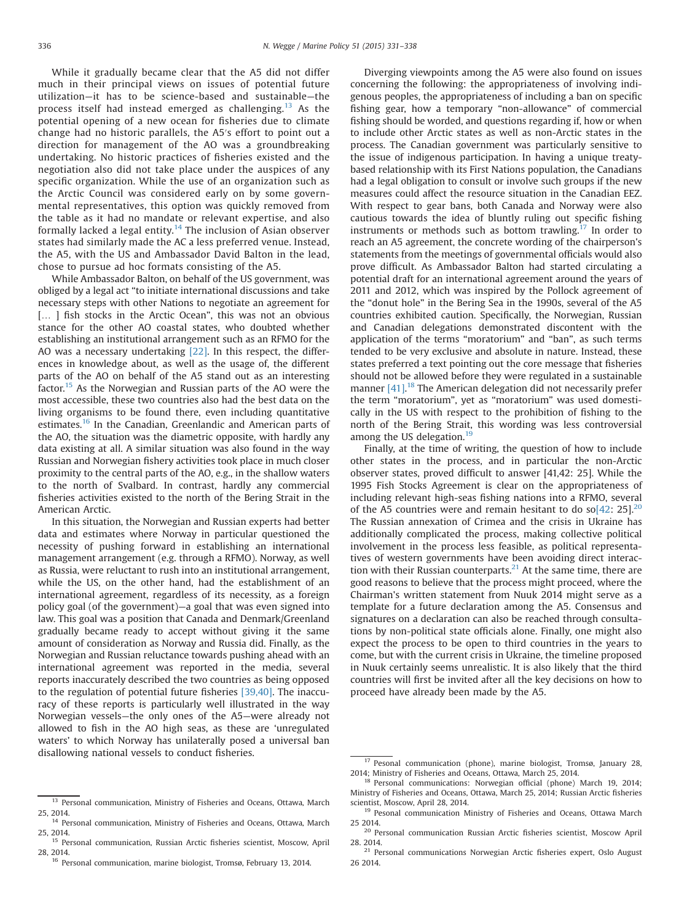While it gradually became clear that the A5 did not differ much in their principal views on issues of potential future utilization—it has to be science-based and sustainable—the process itself had instead emerged as challenging.<sup>13</sup> As the potential opening of a new ocean for fisheries due to climate change had no historic parallels, the A5's effort to point out a direction for management of the AO was a groundbreaking undertaking. No historic practices of fisheries existed and the negotiation also did not take place under the auspices of any specific organization. While the use of an organization such as the Arctic Council was considered early on by some governmental representatives, this option was quickly removed from the table as it had no mandate or relevant expertise, and also formally lacked a legal entity.<sup>14</sup> The inclusion of Asian observer states had similarly made the AC a less preferred venue. Instead, the A5, with the US and Ambassador David Balton in the lead, chose to pursue ad hoc formats consisting of the A5.

While Ambassador Balton, on behalf of the US government, was obliged by a legal act "to initiate international discussions and take necessary steps with other Nations to negotiate an agreement for [...] fish stocks in the Arctic Ocean", this was not an obvious stance for the other AO coastal states, who doubted whether establishing an institutional arrangement such as an RFMO for the AO was a necessary undertaking [\[22\]](#page-6-0). In this respect, the differences in knowledge about, as well as the usage of, the different parts of the AO on behalf of the A5 stand out as an interesting factor.<sup>15</sup> As the Norwegian and Russian parts of the AO were the most accessible, these two countries also had the best data on the living organisms to be found there, even including quantitative estimates.<sup>16</sup> In the Canadian, Greenlandic and American parts of the AO, the situation was the diametric opposite, with hardly any data existing at all. A similar situation was also found in the way Russian and Norwegian fishery activities took place in much closer proximity to the central parts of the AO, e.g., in the shallow waters to the north of Svalbard. In contrast, hardly any commercial fisheries activities existed to the north of the Bering Strait in the American Arctic.

In this situation, the Norwegian and Russian experts had better data and estimates where Norway in particular questioned the necessity of pushing forward in establishing an international management arrangement (e.g. through a RFMO). Norway, as well as Russia, were reluctant to rush into an institutional arrangement, while the US, on the other hand, had the establishment of an international agreement, regardless of its necessity, as a foreign policy goal (of the government)—a goal that was even signed into law. This goal was a position that Canada and Denmark/Greenland gradually became ready to accept without giving it the same amount of consideration as Norway and Russia did. Finally, as the Norwegian and Russian reluctance towards pushing ahead with an international agreement was reported in the media, several reports inaccurately described the two countries as being opposed to the regulation of potential future fisheries [\[39,40\]](#page-6-0). The inaccuracy of these reports is particularly well illustrated in the way Norwegian vessels—the only ones of the A5—were already not allowed to fish in the AO high seas, as these are 'unregulated waters' to which Norway has unilaterally posed a universal ban disallowing national vessels to conduct fisheries.

Diverging viewpoints among the A5 were also found on issues concerning the following: the appropriateness of involving indigenous peoples, the appropriateness of including a ban on specific fishing gear, how a temporary "non-allowance" of commercial fishing should be worded, and questions regarding if, how or when to include other Arctic states as well as non-Arctic states in the process. The Canadian government was particularly sensitive to the issue of indigenous participation. In having a unique treatybased relationship with its First Nations population, the Canadians had a legal obligation to consult or involve such groups if the new measures could affect the resource situation in the Canadian EEZ. With respect to gear bans, both Canada and Norway were also cautious towards the idea of bluntly ruling out specific fishing instruments or methods such as bottom trawling.<sup>17</sup> In order to reach an A5 agreement, the concrete wording of the chairperson's statements from the meetings of governmental officials would also prove difficult. As Ambassador Balton had started circulating a potential draft for an international agreement around the years of 2011 and 2012, which was inspired by the Pollock agreement of the "donut hole" in the Bering Sea in the 1990s, several of the A5 countries exhibited caution. Specifically, the Norwegian, Russian and Canadian delegations demonstrated discontent with the application of the terms "moratorium" and "ban", as such terms tended to be very exclusive and absolute in nature. Instead, these states preferred a text pointing out the core message that fisheries should not be allowed before they were regulated in a sustainable manner [\[41\]](#page-6-0).<sup>18</sup> The American delegation did not necessarily prefer the term "moratorium", yet as "moratorium" was used domestically in the US with respect to the prohibition of fishing to the north of the Bering Strait, this wording was less controversial among the US delegation. $19$ 

Finally, at the time of writing, the question of how to include other states in the process, and in particular the non-Arctic observer states, proved difficult to answer [41,42: 25]. While the 1995 Fish Stocks Agreement is clear on the appropriateness of including relevant high-seas fishing nations into a RFMO, several of the A5 countries were and remain hesitant to do so[ $42: 25$ ].<sup>20</sup> The Russian annexation of Crimea and the crisis in Ukraine has additionally complicated the process, making collective political involvement in the process less feasible, as political representatives of western governments have been avoiding direct interaction with their Russian counterparts. $21$  At the same time, there are good reasons to believe that the process might proceed, where the Chairman's written statement from Nuuk 2014 might serve as a template for a future declaration among the A5. Consensus and signatures on a declaration can also be reached through consultations by non-political state officials alone. Finally, one might also expect the process to be open to third countries in the years to come, but with the current crisis in Ukraine, the timeline proposed in Nuuk certainly seems unrealistic. It is also likely that the third countries will first be invited after all the key decisions on how to proceed have already been made by the A5.

<sup>&</sup>lt;sup>13</sup> Personal communication, Ministry of Fisheries and Oceans, Ottawa, March 25, 2014.

<sup>&</sup>lt;sup>14</sup> Personal communication, Ministry of Fisheries and Oceans, Ottawa, March 25, 2014.

<sup>15</sup> Personal communication, Russian Arctic fisheries scientist, Moscow, April 28, 2014. <sup>16</sup> Personal communication, marine biologist, Tromsø, February 13, 2014.

<sup>17</sup> Pesonal communication (phone), marine biologist, Tromsø, January 28, 2014; Ministry of Fisheries and Oceans, Ottawa, March 25, 2014.

<sup>18</sup> Personal communications: Norwegian official (phone) March 19, 2014; Ministry of Fisheries and Oceans, Ottawa, March 25, 2014; Russian Arctic fisheries scientist, Moscow, April 28, 2014.

<sup>&</sup>lt;sup>19</sup> Pesonal communication Ministry of Fisheries and Oceans, Ottawa March 25 2014.

<sup>&</sup>lt;sup>20</sup> Personal communication Russian Arctic fisheries scientist, Moscow April 28. 2014.

<sup>21</sup> Personal communications Norwegian Arctic fisheries expert, Oslo August 26 2014.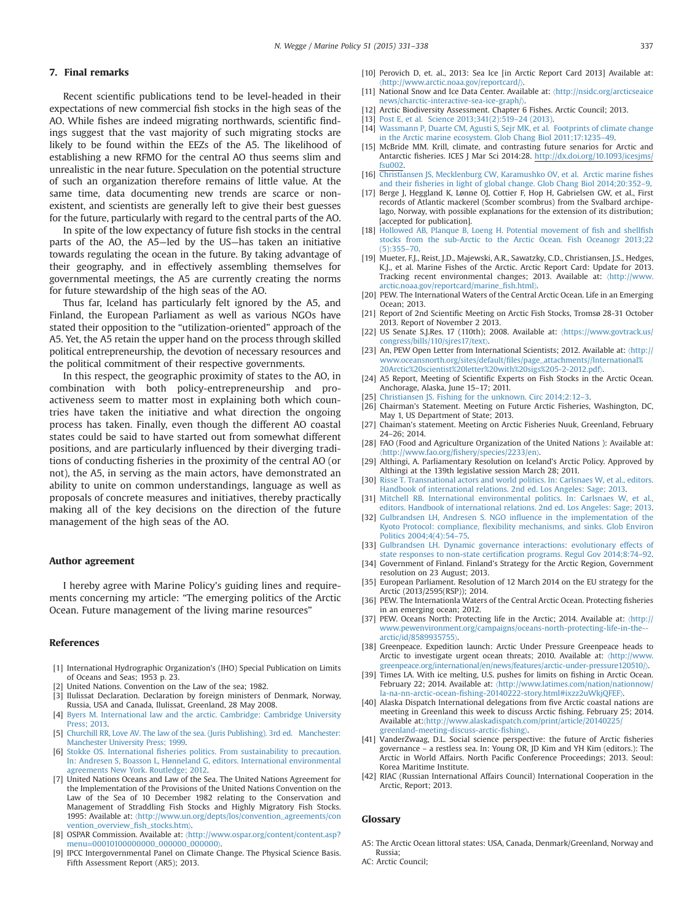#### <span id="page-6-0"></span>7. Final remarks

Recent scientific publications tend to be level-headed in their expectations of new commercial fish stocks in the high seas of the AO. While fishes are indeed migrating northwards, scientific findings suggest that the vast majority of such migrating stocks are likely to be found within the EEZs of the A5. The likelihood of establishing a new RFMO for the central AO thus seems slim and unrealistic in the near future. Speculation on the potential structure of such an organization therefore remains of little value. At the same time, data documenting new trends are scarce or nonexistent, and scientists are generally left to give their best guesses for the future, particularly with regard to the central parts of the AO.

In spite of the low expectancy of future fish stocks in the central parts of the AO, the A5—led by the US—has taken an initiative towards regulating the ocean in the future. By taking advantage of their geography, and in effectively assembling themselves for governmental meetings, the A5 are currently creating the norms for future stewardship of the high seas of the AO.

Thus far, Iceland has particularly felt ignored by the A5, and Finland, the European Parliament as well as various NGOs have stated their opposition to the "utilization-oriented" approach of the A5. Yet, the A5 retain the upper hand on the process through skilled political entrepreneurship, the devotion of necessary resources and the political commitment of their respective governments.

In this respect, the geographic proximity of states to the AO, in combination with both policy-entrepreneurship and proactiveness seem to matter most in explaining both which countries have taken the initiative and what direction the ongoing process has taken. Finally, even though the different AO coastal states could be said to have started out from somewhat different positions, and are particularly influenced by their diverging traditions of conducting fisheries in the proximity of the central AO (or not), the A5, in serving as the main actors, have demonstrated an ability to unite on common understandings, language as well as proposals of concrete measures and initiatives, thereby practically making all of the key decisions on the direction of the future management of the high seas of the AO.

#### Author agreement

I hereby agree with Marine Policy's guiding lines and requirements concerning my article: "The emerging politics of the Arctic Ocean. Future management of the living marine resources"

#### References

- [1] International Hydrographic Organization's (IHO) Special Publication on Limits of Oceans and Seas; 1953 p. 23.
- [2] United Nations. Convention on the Law of the sea: 1982.
- [3] Ilulissat Declaration. Declaration by foreign ministers of Denmark, Norway, Russia, USA and Canada, Ilulissat, Greenland, 28 May 2008.
- [4] [Byers M. International law and the arctic. Cambridge: Cambridge University](http://refhub.elsevier.com/S0308-597X(14)00248-6/sbref1) [Press; 2013.](http://refhub.elsevier.com/S0308-597X(14)00248-6/sbref1)
- [5] [Churchill RR, Love AV. The law of the sea. \(Juris Publishing\). 3rd ed. Manchester:](http://refhub.elsevier.com/S0308-597X(14)00248-6/sbref2) [Manchester University Press; 1999.](http://refhub.elsevier.com/S0308-597X(14)00248-6/sbref2)
- [6] Stokke OS. International fi[sheries politics. From sustainability to precaution.](http://refhub.elsevier.com/S0308-597X(14)00248-6/sbref3) [In: Andresen S, Boasson L, Hønneland G, editors. International environmental](http://refhub.elsevier.com/S0308-597X(14)00248-6/sbref3) [agreements New York. Routledge; 2012.](http://refhub.elsevier.com/S0308-597X(14)00248-6/sbref3)
- [7] United Nations Oceans and Law of the Sea. The United Nations Agreement for the Implementation of the Provisions of the United Nations Convention on the Law of the Sea of 10 December 1982 relating to the Conservation and Management of Straddling Fish Stocks and Highly Migratory Fish Stocks. 1995: Available at: 〈[http://www.un.org/depts/los/convention\\_agreements/con](http://www.un.org/depts/los/convention_agreements/convention_overview_fish_stocks.htm) [vention\\_overview\\_](http://www.un.org/depts/los/convention_agreements/convention_overview_fish_stocks.htm)fish\_stocks.htm〉.
- [8] OSPAR Commission. Available at: 〈[http://www.ospar.org/content/content.asp?](http://www.ospar.org/content/content.asp?menu=00010100000000_000000_000000) menu=[00010100000000\\_000000\\_000000](http://www.ospar.org/content/content.asp?menu=00010100000000_000000_000000))
- [9] IPCC Intergovernmental Panel on Climate Change. The Physical Science Basis. Fifth Assessment Report (AR5); 2013.
- [10] Perovich D, et. al., 2013: Sea Ice [in Arctic Report Card 2013] Available at: 〈<http://www.arctic.noaa.gov/reportcard/>〉.
- [11] National Snow and Ice Data Center. Available at: 〈[http://nsidc.org/arcticseaice](http://nsidc.org/arcticseaicenews/charctic-interactive-sea-ice-graph/) [news/charctic-interactive-sea-ice-graph/](http://nsidc.org/arcticseaicenews/charctic-interactive-sea-ice-graph/)〉.
- [12] Arctic Biodiversity Assessment. Chapter 6 Fishes. Arctic Council; 2013.
- [13] [Post E, et al. Science 2013;341\(2\):519](http://refhub.elsevier.com/S0308-597X(14)00248-6/sbref4)–24 (2013).
- [14] [Wassmann P, Duarte CM, Agusti S, Sejr MK, et al. Footprints of climate change](http://refhub.elsevier.com/S0308-597X(14)00248-6/sbref5) [in the Arctic marine ecosystem. Glob Chang Biol 2011;17:1235](http://refhub.elsevier.com/S0308-597X(14)00248-6/sbref5)–49.
- [15] McBride MM. Krill, climate, and contrasting future senarios for Arctic and Antarctic fisheries. ICES J Mar Sci 2014:28. [http://dx.doi.org/10.1093/icesjms/](http://dx.doi.org/10.1093/icesjms/fsu002) [fsu002](http://dx.doi.org/10.1093/icesjms/fsu002).
- [16] [Christiansen JS, Mecklenburg CW, Karamushko OV, et al. Arctic marine](http://refhub.elsevier.com/S0308-597X(14)00248-6/sbref7) fishes and their fi[sheries in light of global change. Glob Chang Biol 2014;20:352](http://refhub.elsevier.com/S0308-597X(14)00248-6/sbref7)–9.
- [17] Berge J, Heggland K, Lønne OJ, Cottier F, Hop H, Gabrielsen GW, et al., First records of Atlantic mackerel (Scomber scombrus) from the Svalbard archipelago, Norway, with possible explanations for the extension of its distribution; [accepted for publication].
- [18] [Hollowed AB, Planque B, Loeng H. Potential movement of](http://refhub.elsevier.com/S0308-597X(14)00248-6/sbref8) fish and shellfish [stocks from the sub-Arctic to the Arctic Ocean. Fish Oceanogr 2013;22](http://refhub.elsevier.com/S0308-597X(14)00248-6/sbref8) [\(5\):355](http://refhub.elsevier.com/S0308-597X(14)00248-6/sbref8)–70.
- [19] Mueter, F.J., Reist, J.D., Majewski, A.R., Sawatzky, C.D., Christiansen, J.S., Hedges, K.J., et al. Marine Fishes of the Arctic. Arctic Report Card: Update for 2013. Tracking recent environmental changes; 2013. Available at: 〈[http://www.](http://www.arctic.noaa.gov/reportcard/marine_fish.html) [arctic.noaa.gov/reportcard/marine\\_](http://www.arctic.noaa.gov/reportcard/marine_fish.html)fish.html〉.
- [20] PEW. The International Waters of the Central Arctic Ocean. Life in an Emerging Ocean; 2013.
- [21] Report of 2nd Scientific Meeting on Arctic Fish Stocks, Tromsø 28-31 October 2013. Report of November 2 2013.
- [22] US Senate S.J.Res. 17 (110th); 2008. Available at: <a>
([https://www.govtrack.us/](https://www.govtrack.us/congress/bills/110/sjres17/text) [congress/bills/110/sjres17/text](https://www.govtrack.us/congress/bills/110/sjres17/text)〉.
- [23] An, PEW Open Letter from International Scientists; 2012. Available at: 〈[http://](http://www.oceansnorth.org/sites/default/files/page_attachments//International%20Arctic%20scientist%20letter%20with%20sigs%205-2-2012.pdf) www.oceansnorth.org/sites/default/fi[les/page\\_attachments//International%](http://www.oceansnorth.org/sites/default/files/page_attachments//International%20Arctic%20scientist%20letter%20with%20sigs%205-2-2012.pdf) [20Arctic%20scientist%20letter%20with%20sigs%205-2-2012.pdf](http://www.oceansnorth.org/sites/default/files/page_attachments//International%20Arctic%20scientist%20letter%20with%20sigs%205-2-2012.pdf)〉.
- [24] A5 Report, Meeting of Scientific Experts on Fish Stocks in the Arctic Ocean. Anchorage, Alaska, June 15–17; 2011.
- [25] [Christiansen JS. Fishing for the unknown. Circ 2014;2:12](http://refhub.elsevier.com/S0308-597X(14)00248-6/sbref9)-3.
- [26] Chairman's Statement. Meeting on Future Arctic Fisheries, Washington, DC, May 1, US Department of State; 2013.
- [27] Chaiman's statement. Meeting on Arctic Fisheries Nuuk, Greenland, February 24–26; 2014.
- [28] FAO (Food and Agriculture Organization of the United Nations ): Available at: 〈http://www.fao.org/fi[shery/species/2233/en](http://www.fao.org/fishery/species/2233/en)〉.
- [29] Althingi, A. Parliamentary Resolution on Iceland's Arctic Policy. Approved by Althingi at the 139th legislative session March 28; 2011.
- [30] [Risse T. Transnational actors and world politics. In: Carlsnaes W, et al., editors.](http://refhub.elsevier.com/S0308-597X(14)00248-6/sbref10) [Handbook of international relations. 2nd ed. Los Angeles: Sage; 2013.](http://refhub.elsevier.com/S0308-597X(14)00248-6/sbref10)
- [31] [Mitchell RB. International environmental politics. In: Carlsnaes W, et al.,](http://refhub.elsevier.com/S0308-597X(14)00248-6/sbref11) [editors. Handbook of international relations. 2nd ed. Los Angeles: Sage; 2013.](http://refhub.elsevier.com/S0308-597X(14)00248-6/sbref11)
- [32] [Gulbrandsen LH, Andresen S. NGO in](http://refhub.elsevier.com/S0308-597X(14)00248-6/sbref12)fluence in the implementation of the Kyoto Protocol: compliance, fl[exibility mechanisms, and sinks. Glob Environ](http://refhub.elsevier.com/S0308-597X(14)00248-6/sbref12) [Politics 2004;4\(4\):54](http://refhub.elsevier.com/S0308-597X(14)00248-6/sbref12)–75.
- [33] [Gulbrandsen LH. Dynamic governance interactions: evolutionary effects of](http://refhub.elsevier.com/S0308-597X(14)00248-6/sbref13) state responses to non-state certifi[cation programs. Regul Gov 2014;8:74](http://refhub.elsevier.com/S0308-597X(14)00248-6/sbref13)–92.
- [34] Government of Finland. Finland's Strategy for the Arctic Region, Government resolution on 23 August; 2013.
- [35] European Parliament. Resolution of 12 March 2014 on the EU strategy for the Arctic (2013/2595(RSP)); 2014.
- [36] PEW. The Internationla Waters of the Central Arctic Ocean. Protecting fisheries in an emerging ocean; 2012.
- [37] PEW. Oceans North: Protecting life in the Arctic; 2014. Available at: 〈[http://](http://www.pewenvironment.org/campaigns/oceans-north-protecting-life-in-the-arctic/id/8589935755) [www.pewenvironment.org/campaigns/oceans-north-protecting-life-in-the-](http://www.pewenvironment.org/campaigns/oceans-north-protecting-life-in-the-arctic/id/8589935755) [arctic/id/8589935755](http://www.pewenvironment.org/campaigns/oceans-north-protecting-life-in-the-arctic/id/8589935755)〉.
- [38] Greenpeace. Expedition launch: Arctic Under Pressure Greenpeace heads to Arctic to investigate urgent ocean threats; 2010. Available at: 〈[http://www.](http://www.greenpeace.org/international/en/news/features/arctic-under-pressure120510/) [greenpeace.org/international/en/news/features/arctic-under-pressure120510/](http://www.greenpeace.org/international/en/news/features/arctic-under-pressure120510/)〉.
- [39] Times LA. With ice melting, U.S. pushes for limits on fishing in Arctic Ocean. February 22; 2014. Available at: 〈[http://www.latimes.com/nation/nationnow/](http://www.latimes.com/nation/nationnow/la-na-nn-arctic-ocean-fishing-20140222-story.html#ixzz2uWkjQFEF) la-na-nn-arctic-ocean-fi[shing-20140222-story.html#ixzz2uWkjQFEF](http://www.latimes.com/nation/nationnow/la-na-nn-arctic-ocean-fishing-20140222-story.html#ixzz2uWkjQFEF)〉.
- [40] Alaska Dispatch International delegations from five Arctic coastal nations are meeting in Greenland this week to discuss Arctic fishing. February 25; 2014. Available at:〈[http://www.alaskadispatch.com/print/article/20140225/](http://www.alaskadispatch.com/print/article/20140225/greenland-meeting-discuss-arctic-fishing) [greenland-meeting-discuss-arctic-](http://www.alaskadispatch.com/print/article/20140225/greenland-meeting-discuss-arctic-fishing)fishing〉.
- [41] VanderZwaag, D.L. Social science perspective: the future of Arctic fisheries governance – a restless sea. In: Young OR, JD Kim and YH Kim (editors.): The Arctic in World Affairs. North Pacific Conference Proceedings; 2013. Seoul: Korea Maritime Institute.
- [42] RIAC (Russian International Affairs Council) International Cooperation in the Arctic, Report; 2013.

#### Glossary

- A5: The Arctic Ocean littoral states: USA, Canada, Denmark/Greenland, Norway and Russia;
- AC: Arctic Council;